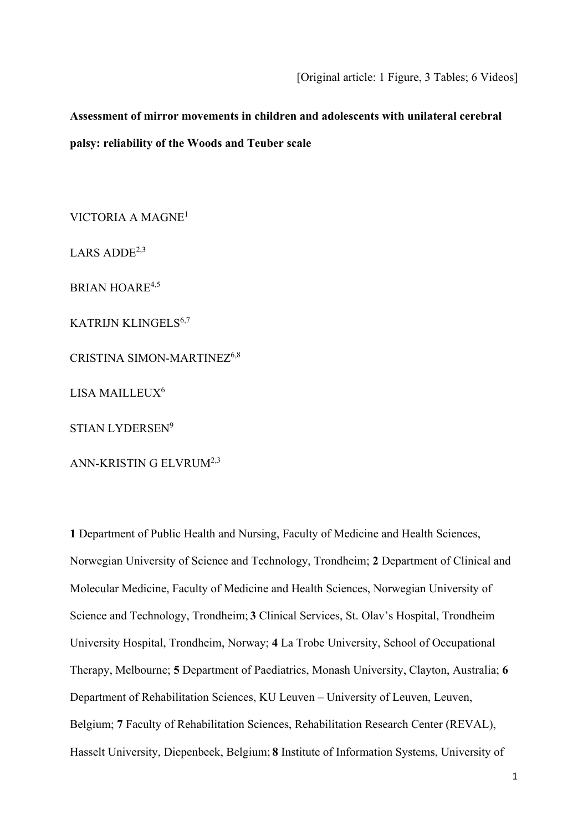# **Assessment of mirror movements in children and adolescents with unilateral cerebral palsy: reliability of the Woods and Teuber scale**

VICTORIA A MAGNE1

LARS ADD $E^{2,3}$ 

BRIAN HOARE<sup>4,5</sup>

KATRIJN KLINGELS<sup>6,7</sup>

CRISTINA SIMON-MARTINEZ6,8

LISA MAILLEUX<sup>6</sup>

STIAN LYDERSEN9

ANN-KRISTIN G ELVRUM2,3

**1** Department of Public Health and Nursing, Faculty of Medicine and Health Sciences, Norwegian University of Science and Technology, Trondheim; **2** Department of Clinical and Molecular Medicine, Faculty of Medicine and Health Sciences, Norwegian University of Science and Technology, Trondheim; **3** Clinical Services, St. Olav's Hospital, Trondheim University Hospital, Trondheim, Norway; **4** La Trobe University, School of Occupational Therapy, Melbourne; **5** Department of Paediatrics, Monash University, Clayton, Australia; **6** Department of Rehabilitation Sciences, KU Leuven – University of Leuven, Leuven, Belgium; **7** Faculty of Rehabilitation Sciences, Rehabilitation Research Center (REVAL), Hasselt University, Diepenbeek, Belgium; **8** Institute of Information Systems, University of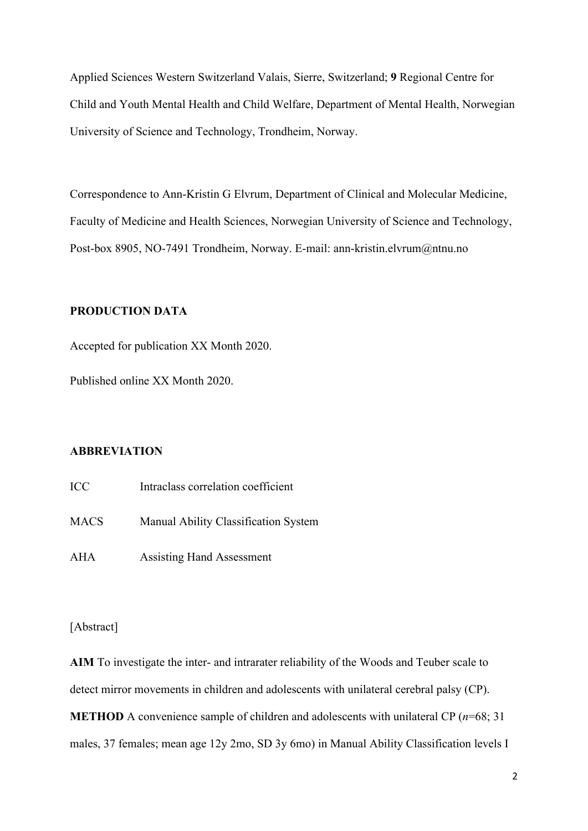Applied Sciences Western Switzerland Valais, Sierre, Switzerland; **9** Regional Centre for Child and Youth Mental Health and Child Welfare, Department of Mental Health, Norwegian University of Science and Technology, Trondheim, Norway.

Correspondence to Ann-Kristin G Elvrum, Department of Clinical and Molecular Medicine, Faculty of Medicine and Health Sciences, Norwegian University of Science and Technology, Post-box 8905, NO-7491 Trondheim, Norway. E-mail: ann-kristin.elvrum@ntnu.no

# **PRODUCTION DATA**

Accepted for publication XX Month 2020.

Published online XX Month 2020.

## **ABBREVIATION**

| <b>ICC</b>  | Intraclass correlation coefficient   |
|-------------|--------------------------------------|
| <b>MACS</b> | Manual Ability Classification System |
| AHA         | <b>Assisting Hand Assessment</b>     |

[Abstract]

**AIM** To investigate the inter- and intrarater reliability of the Woods and Teuber scale to detect mirror movements in children and adolescents with unilateral cerebral palsy (CP). **METHOD** A convenience sample of children and adolescents with unilateral CP (*n*=68; 31 males, 37 females; mean age 12y 2mo, SD 3y 6mo) in Manual Ability Classification levels I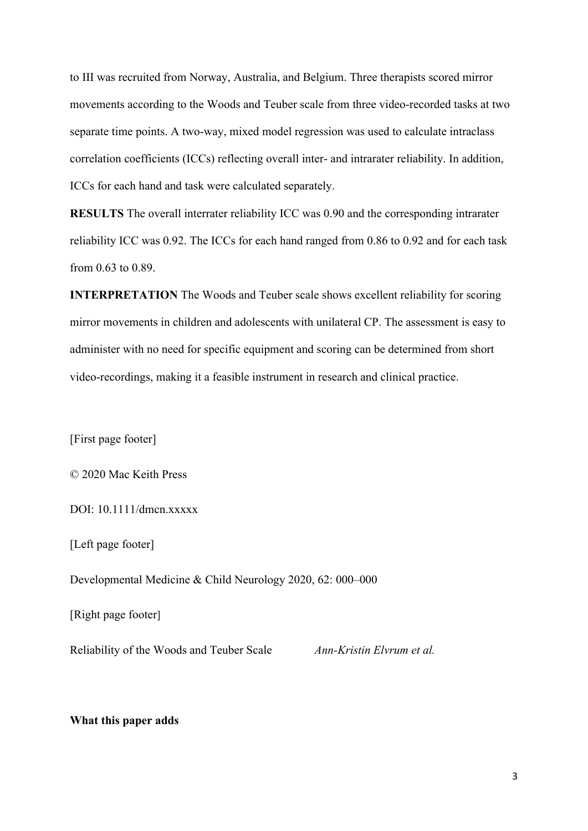to III was recruited from Norway, Australia, and Belgium. Three therapists scored mirror movements according to the Woods and Teuber scale from three video-recorded tasks at two separate time points. A two-way, mixed model regression was used to calculate intraclass correlation coefficients (ICCs) reflecting overall inter- and intrarater reliability. In addition, ICCs for each hand and task were calculated separately.

**RESULTS** The overall interrater reliability ICC was 0.90 and the corresponding intrarater reliability ICC was 0.92. The ICCs for each hand ranged from 0.86 to 0.92 and for each task from 0.63 to 0.89.

**INTERPRETATION** The Woods and Teuber scale shows excellent reliability for scoring mirror movements in children and adolescents with unilateral CP. The assessment is easy to administer with no need for specific equipment and scoring can be determined from short video-recordings, making it a feasible instrument in research and clinical practice.

[First page footer]

© 2020 Mac Keith Press

DOI: 10.1111/dmcn.xxxxx

[Left page footer]

Developmental Medicine & Child Neurology 2020, 62: 000–000

[Right page footer]

Reliability of the Woods and Teuber Scale *Ann-Kristin Elvrum et al.*

**What this paper adds**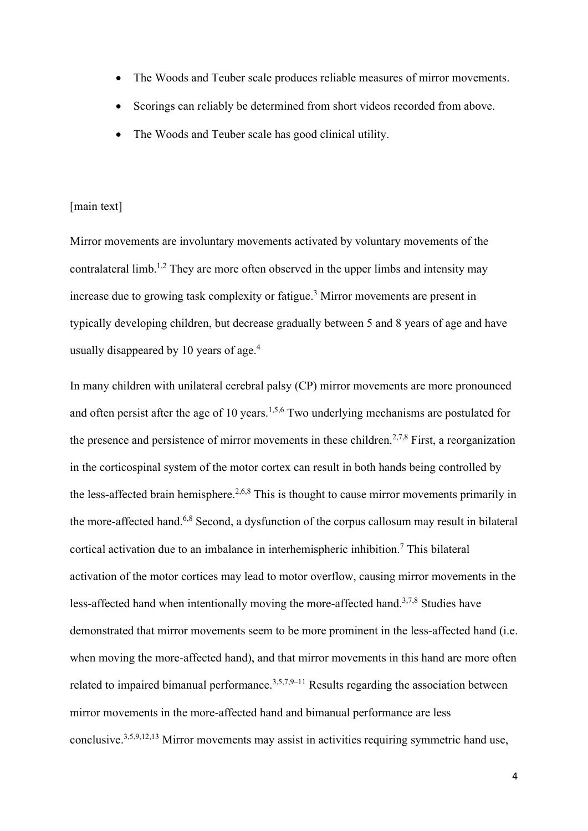- The Woods and Teuber scale produces reliable measures of mirror movements.
- Scorings can reliably be determined from short videos recorded from above.
- The Woods and Teuber scale has good clinical utility.

#### [main text]

Mirror movements are involuntary movements activated by voluntary movements of the contralateral limb.<sup>1,2</sup> They are more often observed in the upper limbs and intensity may increase due to growing task complexity or fatigue.3 Mirror movements are present in typically developing children, but decrease gradually between 5 and 8 years of age and have usually disappeared by 10 years of age. 4

In many children with unilateral cerebral palsy (CP) mirror movements are more pronounced and often persist after the age of 10 years.<sup>1,5,6</sup> Two underlying mechanisms are postulated for the presence and persistence of mirror movements in these children.<sup>2,7,8</sup> First, a reorganization in the corticospinal system of the motor cortex can result in both hands being controlled by the less-affected brain hemisphere.<sup>2,6,8</sup> This is thought to cause mirror movements primarily in the more-affected hand.6,8 Second, a dysfunction of the corpus callosum may result in bilateral cortical activation due to an imbalance in interhemispheric inhibition. <sup>7</sup> This bilateral activation of the motor cortices may lead to motor overflow, causing mirror movements in the less-affected hand when intentionally moving the more-affected hand.<sup>3,7,8</sup> Studies have demonstrated that mirror movements seem to be more prominent in the less-affected hand (i.e. when moving the more-affected hand), and that mirror movements in this hand are more often related to impaired bimanual performance.<sup>3,5,7,9–11</sup> Results regarding the association between mirror movements in the more-affected hand and bimanual performance are less conclusive.3,5,9,12,13 Mirror movements may assist in activities requiring symmetric hand use,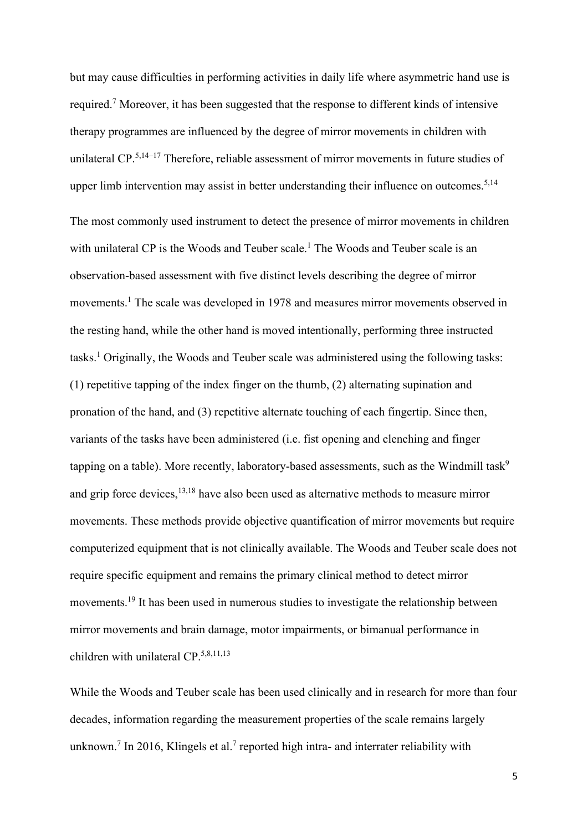but may cause difficulties in performing activities in daily life where asymmetric hand use is required.<sup>7</sup> Moreover, it has been suggested that the response to different kinds of intensive therapy programmes are influenced by the degree of mirror movements in children with unilateral CP.<sup>5,14–17</sup> Therefore, reliable assessment of mirror movements in future studies of upper limb intervention may assist in better understanding their influence on outcomes.<sup>5,14</sup> The most commonly used instrument to detect the presence of mirror movements in children with unilateral CP is the Woods and Teuber scale.<sup>1</sup> The Woods and Teuber scale is an observation-based assessment with five distinct levels describing the degree of mirror movements. <sup>1</sup> The scale was developed in 1978 and measures mirror movements observed in the resting hand, while the other hand is moved intentionally, performing three instructed tasks.<sup>1</sup> Originally, the Woods and Teuber scale was administered using the following tasks: (1) repetitive tapping of the index finger on the thumb, (2) alternating supination and pronation of the hand, and (3) repetitive alternate touching of each fingertip. Since then, variants of the tasks have been administered (i.e. fist opening and clenching and finger tapping on a table). More recently, laboratory-based assessments, such as the Windmill task<sup>9</sup> and grip force devices, <sup>13,18</sup> have also been used as alternative methods to measure mirror movements. These methods provide objective quantification of mirror movements but require computerized equipment that is not clinically available. The Woods and Teuber scale does not require specific equipment and remains the primary clinical method to detect mirror movements.<sup>19</sup> It has been used in numerous studies to investigate the relationship between mirror movements and brain damage, motor impairments, or bimanual performance in children with unilateral CP. 5,8,11,13

While the Woods and Teuber scale has been used clinically and in research for more than four decades, information regarding the measurement properties of the scale remains largely unknown.<sup>7</sup> In 2016, Klingels et al.<sup>7</sup> reported high intra- and interrater reliability with

5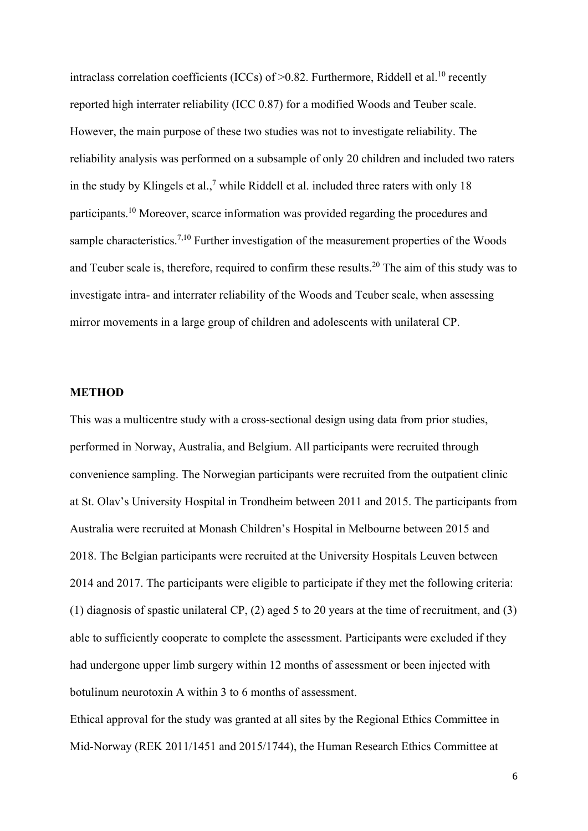intraclass correlation coefficients (ICCs) of  $>0.82$ . Furthermore, Riddell et al.<sup>10</sup> recently reported high interrater reliability (ICC 0.87) for a modified Woods and Teuber scale. However, the main purpose of these two studies was not to investigate reliability. The reliability analysis was performed on a subsample of only 20 children and included two raters in the study by Klingels et al.,<sup>7</sup> while Riddell et al. included three raters with only 18 participants.10 Moreover, scarce information was provided regarding the procedures and sample characteristics.<sup>7,10</sup> Further investigation of the measurement properties of the Woods and Teuber scale is, therefore, required to confirm these results.<sup>20</sup> The aim of this study was to investigate intra- and interrater reliability of the Woods and Teuber scale, when assessing mirror movements in a large group of children and adolescents with unilateral CP.

#### **METHOD**

This was a multicentre study with a cross-sectional design using data from prior studies, performed in Norway, Australia, and Belgium. All participants were recruited through convenience sampling. The Norwegian participants were recruited from the outpatient clinic at St. Olav's University Hospital in Trondheim between 2011 and 2015. The participants from Australia were recruited at Monash Children's Hospital in Melbourne between 2015 and 2018. The Belgian participants were recruited at the University Hospitals Leuven between 2014 and 2017. The participants were eligible to participate if they met the following criteria: (1) diagnosis of spastic unilateral CP, (2) aged 5 to 20 years at the time of recruitment, and (3) able to sufficiently cooperate to complete the assessment. Participants were excluded if they had undergone upper limb surgery within 12 months of assessment or been injected with botulinum neurotoxin A within 3 to 6 months of assessment.

Ethical approval for the study was granted at all sites by the Regional Ethics Committee in Mid-Norway (REK 2011/1451 and 2015/1744), the Human Research Ethics Committee at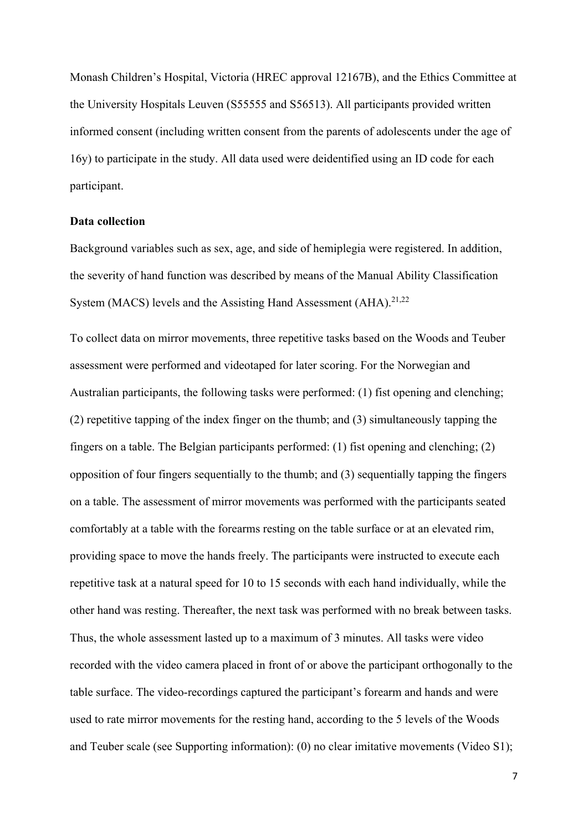Monash Children's Hospital, Victoria (HREC approval 12167B), and the Ethics Committee at the University Hospitals Leuven (S55555 and S56513). All participants provided written informed consent (including written consent from the parents of adolescents under the age of 16y) to participate in the study. All data used were deidentified using an ID code for each participant.

#### **Data collection**

Background variables such as sex, age, and side of hemiplegia were registered. In addition, the severity of hand function was described by means of the Manual Ability Classification System (MACS) levels and the Assisting Hand Assessment (AHA).<sup>21,22</sup>

To collect data on mirror movements, three repetitive tasks based on the Woods and Teuber assessment were performed and videotaped for later scoring. For the Norwegian and Australian participants, the following tasks were performed: (1) fist opening and clenching; (2) repetitive tapping of the index finger on the thumb; and (3) simultaneously tapping the fingers on a table. The Belgian participants performed: (1) fist opening and clenching; (2) opposition of four fingers sequentially to the thumb; and (3) sequentially tapping the fingers on a table. The assessment of mirror movements was performed with the participants seated comfortably at a table with the forearms resting on the table surface or at an elevated rim, providing space to move the hands freely. The participants were instructed to execute each repetitive task at a natural speed for 10 to 15 seconds with each hand individually, while the other hand was resting. Thereafter, the next task was performed with no break between tasks. Thus, the whole assessment lasted up to a maximum of 3 minutes. All tasks were video recorded with the video camera placed in front of or above the participant orthogonally to the table surface. The video-recordings captured the participant's forearm and hands and were used to rate mirror movements for the resting hand, according to the 5 levels of the Woods and Teuber scale (see Supporting information): (0) no clear imitative movements (Video S1);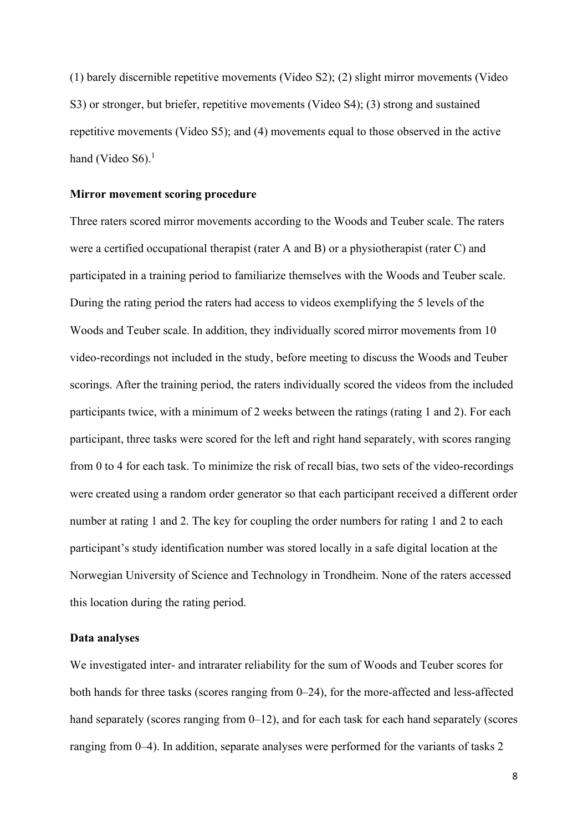(1) barely discernible repetitive movements (Video S2); (2) slight mirror movements (Video S3) or stronger, but briefer, repetitive movements (Video S4); (3) strong and sustained repetitive movements (Video S5); and (4) movements equal to those observed in the active hand (Video S6).<sup>1</sup>

#### **Mirror movement scoring procedure**

Three raters scored mirror movements according to the Woods and Teuber scale. The raters were a certified occupational therapist (rater A and B) or a physiotherapist (rater C) and participated in a training period to familiarize themselves with the Woods and Teuber scale. During the rating period the raters had access to videos exemplifying the 5 levels of the Woods and Teuber scale. In addition, they individually scored mirror movements from 10 video-recordings not included in the study, before meeting to discuss the Woods and Teuber scorings. After the training period, the raters individually scored the videos from the included participants twice, with a minimum of 2 weeks between the ratings (rating 1 and 2). For each participant, three tasks were scored for the left and right hand separately, with scores ranging from 0 to 4 for each task. To minimize the risk of recall bias, two sets of the video-recordings were created using a random order generator so that each participant received a different order number at rating 1 and 2. The key for coupling the order numbers for rating 1 and 2 to each participant's study identification number was stored locally in a safe digital location at the Norwegian University of Science and Technology in Trondheim. None of the raters accessed this location during the rating period.

#### **Data analyses**

We investigated inter- and intrarater reliability for the sum of Woods and Teuber scores for both hands for three tasks (scores ranging from 0–24), for the more-affected and less-affected hand separately (scores ranging from 0–12), and for each task for each hand separately (scores ranging from 0–4). In addition, separate analyses were performed for the variants of tasks 2

8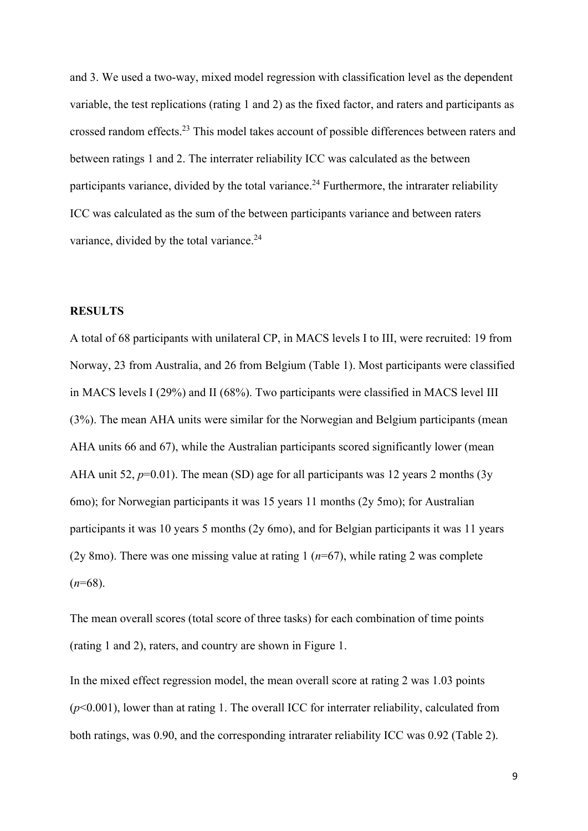and 3. We used a two-way, mixed model regression with classification level as the dependent variable, the test replications (rating 1 and 2) as the fixed factor, and raters and participants as crossed random effects.<sup>23</sup> This model takes account of possible differences between raters and between ratings 1 and 2. The interrater reliability ICC was calculated as the between participants variance, divided by the total variance.<sup>24</sup> Furthermore, the intrarater reliability ICC was calculated as the sum of the between participants variance and between raters variance, divided by the total variance.<sup>24</sup>

#### **RESULTS**

A total of 68 participants with unilateral CP, in MACS levels I to III, were recruited: 19 from Norway, 23 from Australia, and 26 from Belgium (Table 1). Most participants were classified in MACS levels I (29%) and II (68%). Two participants were classified in MACS level III (3%). The mean AHA units were similar for the Norwegian and Belgium participants (mean AHA units 66 and 67), while the Australian participants scored significantly lower (mean AHA unit 52,  $p=0.01$ ). The mean (SD) age for all participants was 12 years 2 months (3y 6mo); for Norwegian participants it was 15 years 11 months (2y 5mo); for Australian participants it was 10 years 5 months (2y 6mo), and for Belgian participants it was 11 years (2y 8mo). There was one missing value at rating 1 (*n*=67), while rating 2 was complete  $(n=68)$ .

The mean overall scores (total score of three tasks) for each combination of time points (rating 1 and 2), raters, and country are shown in Figure 1.

In the mixed effect regression model, the mean overall score at rating 2 was 1.03 points (*p*<0.001), lower than at rating 1. The overall ICC for interrater reliability, calculated from both ratings, was 0.90, and the corresponding intrarater reliability ICC was 0.92 (Table 2).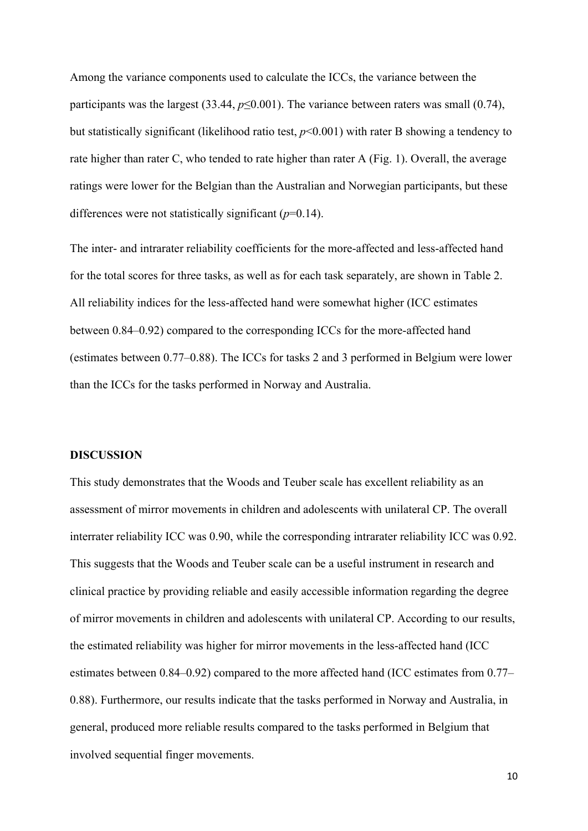Among the variance components used to calculate the ICCs, the variance between the participants was the largest (33.44, *p*≤0.001). The variance between raters was small (0.74), but statistically significant (likelihood ratio test, *p*<0.001) with rater B showing a tendency to rate higher than rater C, who tended to rate higher than rater A (Fig. 1). Overall, the average ratings were lower for the Belgian than the Australian and Norwegian participants, but these differences were not statistically significant (*p*=0.14).

The inter- and intrarater reliability coefficients for the more-affected and less-affected hand for the total scores for three tasks, as well as for each task separately, are shown in Table 2. All reliability indices for the less-affected hand were somewhat higher (ICC estimates between 0.84–0.92) compared to the corresponding ICCs for the more-affected hand (estimates between 0.77–0.88). The ICCs for tasks 2 and 3 performed in Belgium were lower than the ICCs for the tasks performed in Norway and Australia.

#### **DISCUSSION**

This study demonstrates that the Woods and Teuber scale has excellent reliability as an assessment of mirror movements in children and adolescents with unilateral CP. The overall interrater reliability ICC was 0.90, while the corresponding intrarater reliability ICC was 0.92. This suggests that the Woods and Teuber scale can be a useful instrument in research and clinical practice by providing reliable and easily accessible information regarding the degree of mirror movements in children and adolescents with unilateral CP. According to our results, the estimated reliability was higher for mirror movements in the less-affected hand (ICC estimates between 0.84–0.92) compared to the more affected hand (ICC estimates from 0.77– 0.88). Furthermore, our results indicate that the tasks performed in Norway and Australia, in general, produced more reliable results compared to the tasks performed in Belgium that involved sequential finger movements.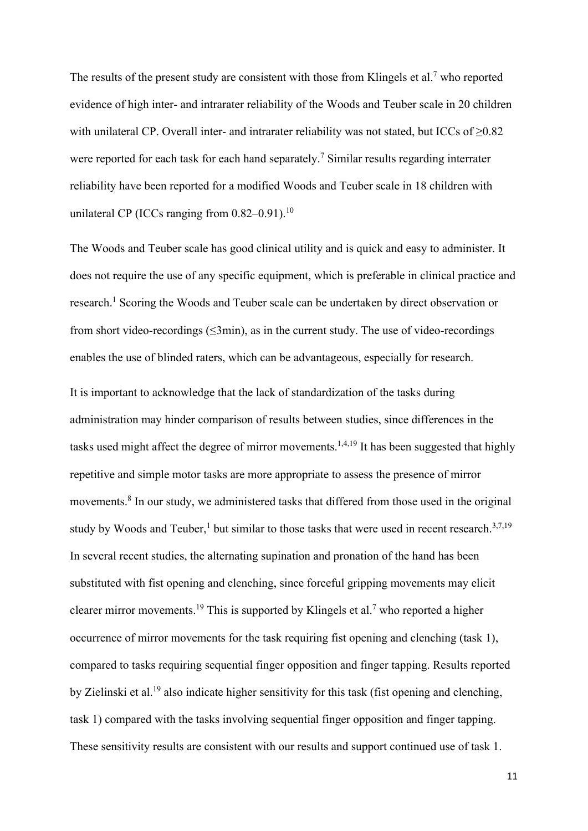The results of the present study are consistent with those from Klingels et al.<sup>7</sup> who reported evidence of high inter- and intrarater reliability of the Woods and Teuber scale in 20 children with unilateral CP. Overall inter- and intrarater reliability was not stated, but ICCs of  $\geq 0.82$ were reported for each task for each hand separately.<sup>7</sup> Similar results regarding interrater reliability have been reported for a modified Woods and Teuber scale in 18 children with unilateral CP (ICCs ranging from  $0.82-0.91$ ).<sup>10</sup>

The Woods and Teuber scale has good clinical utility and is quick and easy to administer. It does not require the use of any specific equipment, which is preferable in clinical practice and research.<sup>1</sup> Scoring the Woods and Teuber scale can be undertaken by direct observation or from short video-recordings  $(\leq 3$ min), as in the current study. The use of video-recordings enables the use of blinded raters, which can be advantageous, especially for research.

It is important to acknowledge that the lack of standardization of the tasks during administration may hinder comparison of results between studies, since differences in the tasks used might affect the degree of mirror movements.<sup>1,4,19</sup> It has been suggested that highly repetitive and simple motor tasks are more appropriate to assess the presence of mirror movements. <sup>8</sup> In our study, we administered tasks that differed from those used in the original study by Woods and Teuber,<sup>1</sup> but similar to those tasks that were used in recent research.<sup>3,7,19</sup> In several recent studies, the alternating supination and pronation of the hand has been substituted with fist opening and clenching, since forceful gripping movements may elicit clearer mirror movements.<sup>19</sup> This is supported by Klingels et al.<sup>7</sup> who reported a higher occurrence of mirror movements for the task requiring fist opening and clenching (task 1), compared to tasks requiring sequential finger opposition and finger tapping. Results reported by Zielinski et al.19 also indicate higher sensitivity for this task (fist opening and clenching, task 1) compared with the tasks involving sequential finger opposition and finger tapping. These sensitivity results are consistent with our results and support continued use of task 1.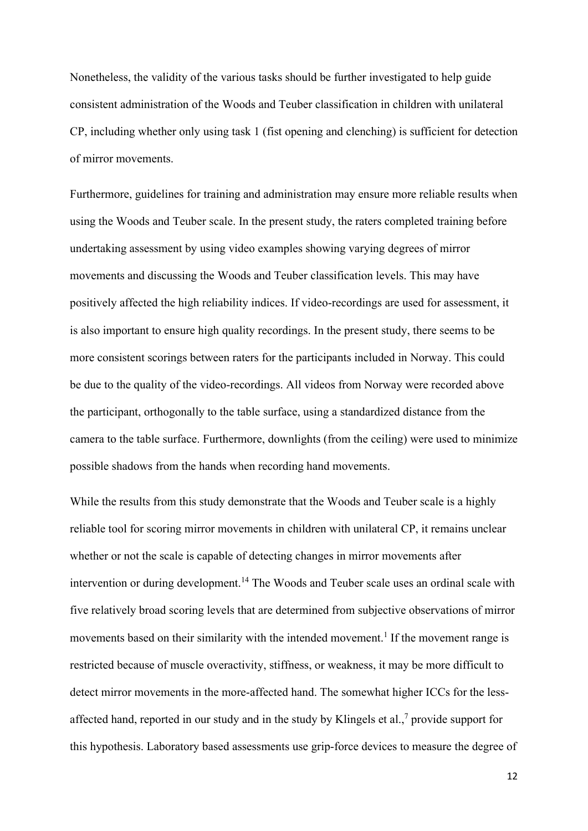Nonetheless, the validity of the various tasks should be further investigated to help guide consistent administration of the Woods and Teuber classification in children with unilateral CP, including whether only using task 1 (fist opening and clenching) is sufficient for detection of mirror movements.

Furthermore, guidelines for training and administration may ensure more reliable results when using the Woods and Teuber scale. In the present study, the raters completed training before undertaking assessment by using video examples showing varying degrees of mirror movements and discussing the Woods and Teuber classification levels. This may have positively affected the high reliability indices. If video-recordings are used for assessment, it is also important to ensure high quality recordings. In the present study, there seems to be more consistent scorings between raters for the participants included in Norway. This could be due to the quality of the video-recordings. All videos from Norway were recorded above the participant, orthogonally to the table surface, using a standardized distance from the camera to the table surface. Furthermore, downlights (from the ceiling) were used to minimize possible shadows from the hands when recording hand movements.

While the results from this study demonstrate that the Woods and Teuber scale is a highly reliable tool for scoring mirror movements in children with unilateral CP, it remains unclear whether or not the scale is capable of detecting changes in mirror movements after intervention or during development.<sup>14</sup> The Woods and Teuber scale uses an ordinal scale with five relatively broad scoring levels that are determined from subjective observations of mirror movements based on their similarity with the intended movement.<sup>1</sup> If the movement range is restricted because of muscle overactivity, stiffness, or weakness, it may be more difficult to detect mirror movements in the more-affected hand. The somewhat higher ICCs for the lessaffected hand, reported in our study and in the study by Klingels et al., $\frac{7}{7}$  provide support for this hypothesis. Laboratory based assessments use grip-force devices to measure the degree of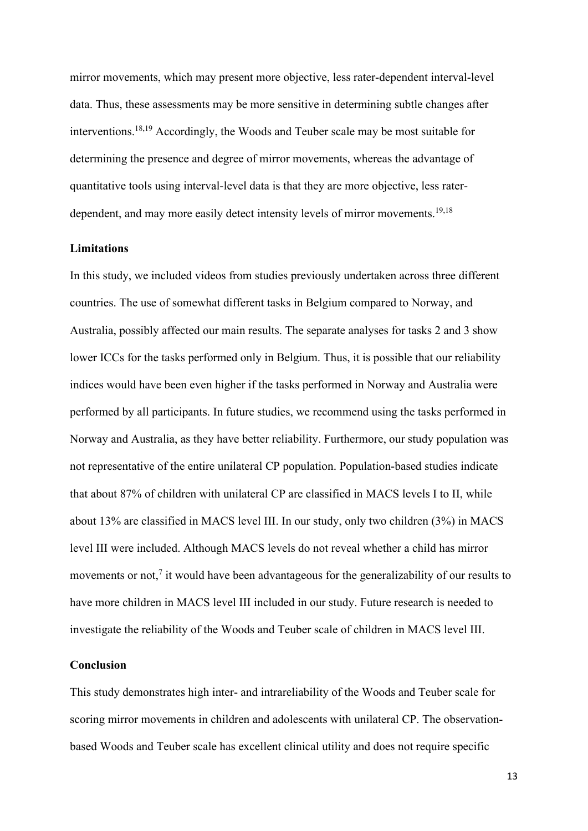mirror movements, which may present more objective, less rater-dependent interval-level data. Thus, these assessments may be more sensitive in determining subtle changes after interventions. 18,19 Accordingly, the Woods and Teuber scale may be most suitable for determining the presence and degree of mirror movements, whereas the advantage of quantitative tools using interval-level data is that they are more objective, less raterdependent, and may more easily detect intensity levels of mirror movements.<sup>19,18</sup>

#### **Limitations**

In this study, we included videos from studies previously undertaken across three different countries. The use of somewhat different tasks in Belgium compared to Norway, and Australia, possibly affected our main results. The separate analyses for tasks 2 and 3 show lower ICCs for the tasks performed only in Belgium. Thus, it is possible that our reliability indices would have been even higher if the tasks performed in Norway and Australia were performed by all participants. In future studies, we recommend using the tasks performed in Norway and Australia, as they have better reliability. Furthermore, our study population was not representative of the entire unilateral CP population. Population-based studies indicate that about 87% of children with unilateral CP are classified in MACS levels I to II, while about 13% are classified in MACS level III. In our study, only two children (3%) in MACS level III were included. Although MACS levels do not reveal whether a child has mirror movements or not, $<sup>7</sup>$  it would have been advantageous for the generalizability of our results to</sup> have more children in MACS level III included in our study. Future research is needed to investigate the reliability of the Woods and Teuber scale of children in MACS level III.

## **Conclusion**

This study demonstrates high inter- and intrareliability of the Woods and Teuber scale for scoring mirror movements in children and adolescents with unilateral CP. The observationbased Woods and Teuber scale has excellent clinical utility and does not require specific

13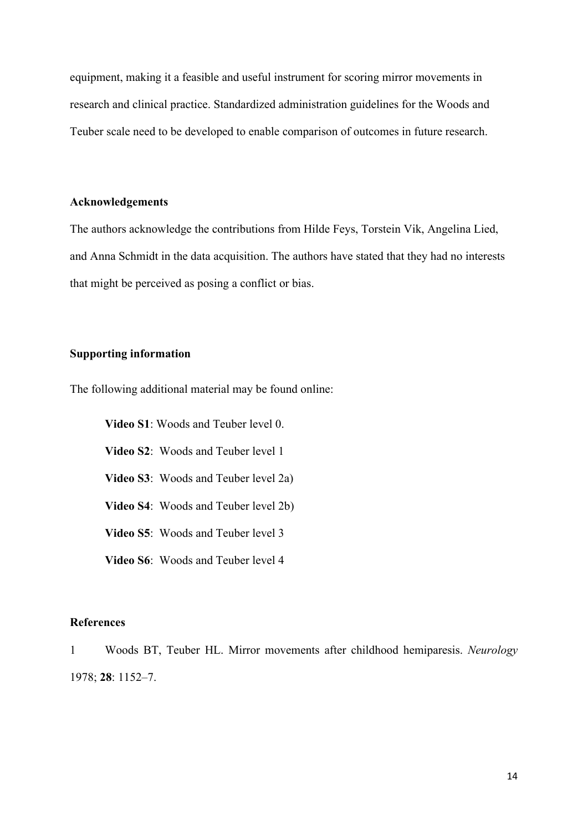equipment, making it a feasible and useful instrument for scoring mirror movements in research and clinical practice. Standardized administration guidelines for the Woods and Teuber scale need to be developed to enable comparison of outcomes in future research.

## **Acknowledgements**

The authors acknowledge the contributions from Hilde Feys, Torstein Vik, Angelina Lied, and Anna Schmidt in the data acquisition. The authors have stated that they had no interests that might be perceived as posing a conflict or bias.

## **Supporting information**

The following additional material may be found online:

**Video S1**: Woods and Teuber level 0. **Video S2**: Woods and Teuber level 1 **Video S3**: Woods and Teuber level 2a) **Video S4**: Woods and Teuber level 2b) **Video S5**: Woods and Teuber level 3 **Video S6**: Woods and Teuber level 4

# **References**

1 Woods BT, Teuber HL. Mirror movements after childhood hemiparesis. *Neurology* 1978; **28**: 1152–7.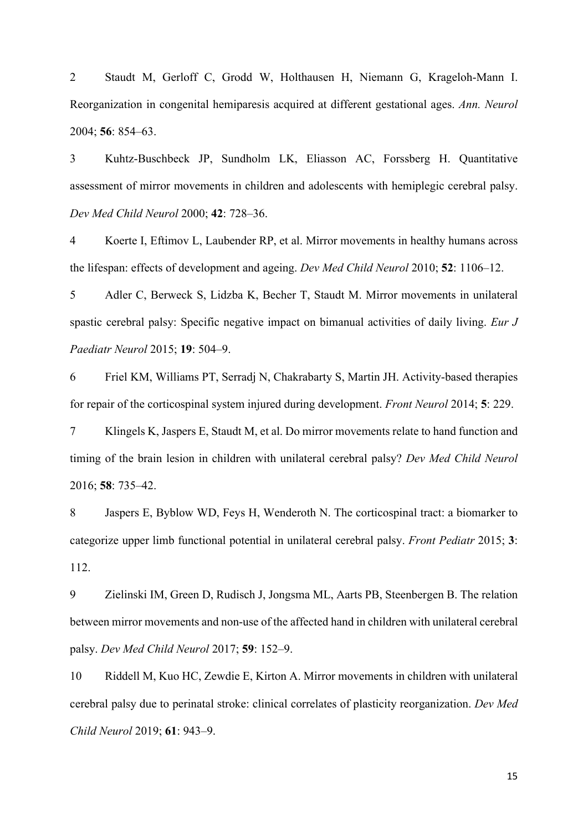2 Staudt M, Gerloff C, Grodd W, Holthausen H, Niemann G, Krageloh-Mann I. Reorganization in congenital hemiparesis acquired at different gestational ages. *Ann. Neurol* 2004; **56**: 854–63.

3 Kuhtz-Buschbeck JP, Sundholm LK, Eliasson AC, Forssberg H. Quantitative assessment of mirror movements in children and adolescents with hemiplegic cerebral palsy. *Dev Med Child Neurol* 2000; **42**: 728–36.

4 Koerte I, Eftimov L, Laubender RP, et al. Mirror movements in healthy humans across the lifespan: effects of development and ageing. *Dev Med Child Neurol* 2010; **52**: 1106–12.

5 Adler C, Berweck S, Lidzba K, Becher T, Staudt M. Mirror movements in unilateral spastic cerebral palsy: Specific negative impact on bimanual activities of daily living. *Eur J Paediatr Neurol* 2015; **19**: 504–9.

6 Friel KM, Williams PT, Serradj N, Chakrabarty S, Martin JH. Activity-based therapies for repair of the corticospinal system injured during development. *Front Neurol* 2014; **5**: 229.

7 Klingels K, Jaspers E, Staudt M, et al. Do mirror movements relate to hand function and timing of the brain lesion in children with unilateral cerebral palsy? *Dev Med Child Neurol* 2016; **58**: 735–42.

8 Jaspers E, Byblow WD, Feys H, Wenderoth N. The corticospinal tract: a biomarker to categorize upper limb functional potential in unilateral cerebral palsy. *Front Pediatr* 2015; **3**: 112.

9 Zielinski IM, Green D, Rudisch J, Jongsma ML, Aarts PB, Steenbergen B. The relation between mirror movements and non-use of the affected hand in children with unilateral cerebral palsy. *Dev Med Child Neurol* 2017; **59**: 152–9.

10 Riddell M, Kuo HC, Zewdie E, Kirton A. Mirror movements in children with unilateral cerebral palsy due to perinatal stroke: clinical correlates of plasticity reorganization. *Dev Med Child Neurol* 2019; **61**: 943–9.

15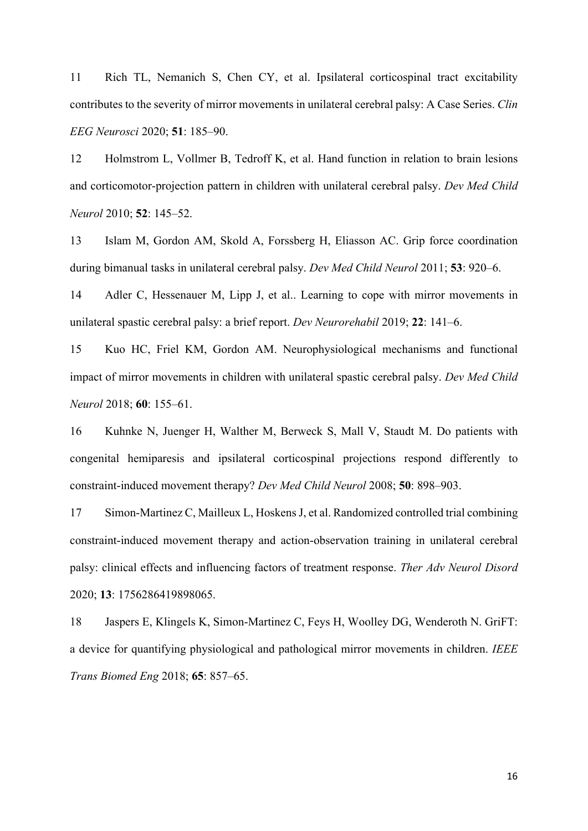11 Rich TL, Nemanich S, Chen CY, et al. Ipsilateral corticospinal tract excitability contributes to the severity of mirror movements in unilateral cerebral palsy: A Case Series. *Clin EEG Neurosci* 2020; **51**: 185–90.

12 Holmstrom L, Vollmer B, Tedroff K, et al. Hand function in relation to brain lesions and corticomotor-projection pattern in children with unilateral cerebral palsy. *Dev Med Child Neurol* 2010; **52**: 145–52.

13 Islam M, Gordon AM, Skold A, Forssberg H, Eliasson AC. Grip force coordination during bimanual tasks in unilateral cerebral palsy. *Dev Med Child Neurol* 2011; **53**: 920–6.

14 Adler C, Hessenauer M, Lipp J, et al.. Learning to cope with mirror movements in unilateral spastic cerebral palsy: a brief report. *Dev Neurorehabil* 2019; **22**: 141–6.

15 Kuo HC, Friel KM, Gordon AM. Neurophysiological mechanisms and functional impact of mirror movements in children with unilateral spastic cerebral palsy. *Dev Med Child Neurol* 2018; **60**: 155–61.

16 Kuhnke N, Juenger H, Walther M, Berweck S, Mall V, Staudt M. Do patients with congenital hemiparesis and ipsilateral corticospinal projections respond differently to constraint-induced movement therapy? *Dev Med Child Neurol* 2008; **50**: 898–903.

17 Simon-Martinez C, Mailleux L, Hoskens J, et al. Randomized controlled trial combining constraint-induced movement therapy and action-observation training in unilateral cerebral palsy: clinical effects and influencing factors of treatment response. *Ther Adv Neurol Disord* 2020; **13**: 1756286419898065.

18 Jaspers E, Klingels K, Simon-Martinez C, Feys H, Woolley DG, Wenderoth N. GriFT: a device for quantifying physiological and pathological mirror movements in children. *IEEE Trans Biomed Eng* 2018; **65**: 857–65.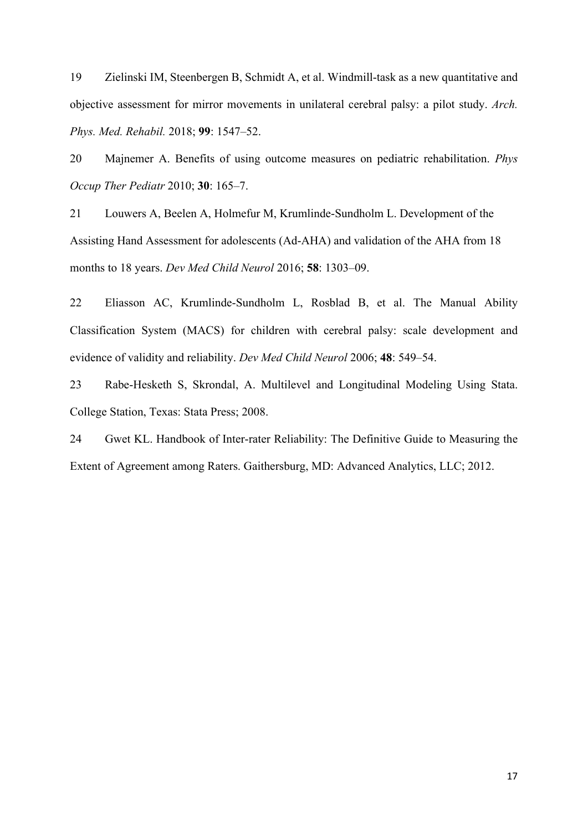19 Zielinski IM, Steenbergen B, Schmidt A, et al. Windmill-task as a new quantitative and objective assessment for mirror movements in unilateral cerebral palsy: a pilot study. *Arch. Phys. Med. Rehabil.* 2018; **99**: 1547–52.

20 Majnemer A. Benefits of using outcome measures on pediatric rehabilitation. *Phys Occup Ther Pediatr* 2010; **30**: 165–7.

21 Louwers A, Beelen A, Holmefur M, Krumlinde-Sundholm L. Development of the Assisting Hand Assessment for adolescents (Ad-AHA) and validation of the AHA from 18 months to 18 years. *Dev Med Child Neurol* 2016; **58**: 1303–09.

22 Eliasson AC, Krumlinde-Sundholm L, Rosblad B, et al. The Manual Ability Classification System (MACS) for children with cerebral palsy: scale development and evidence of validity and reliability. *Dev Med Child Neurol* 2006; **48**: 549–54.

23 Rabe-Hesketh S, Skrondal, A. Multilevel and Longitudinal Modeling Using Stata. College Station, Texas: Stata Press; 2008.

24 Gwet KL. Handbook of Inter-rater Reliability: The Definitive Guide to Measuring the Extent of Agreement among Raters. Gaithersburg, MD: Advanced Analytics, LLC; 2012.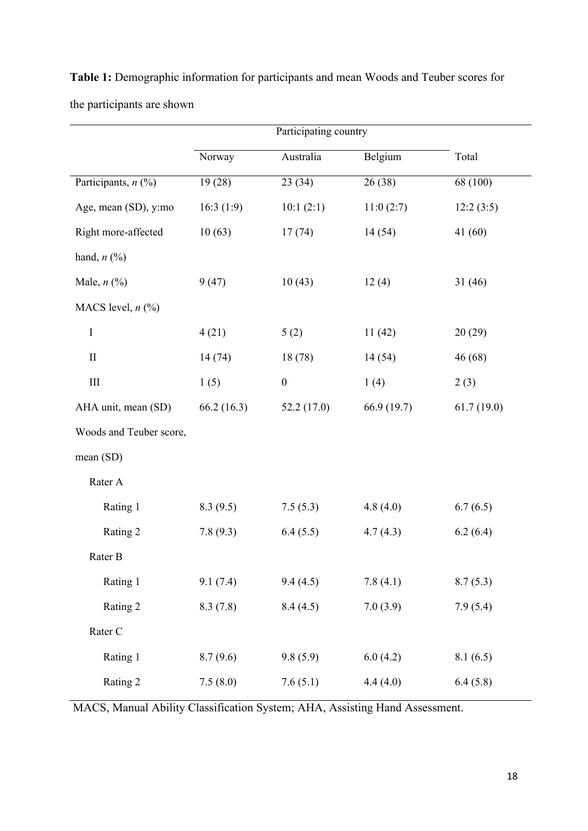|                         | Norway     | Australia        | Belgium     | Total      |
|-------------------------|------------|------------------|-------------|------------|
| Participants, $n$ (%)   | 19(28)     | 23 (34)          | 26(38)      | 68 (100)   |
| Age, mean (SD), y:mo    | 16:3(1:9)  | 10:1(2:1)        | 11:0(2:7)   | 12:2(3:5)  |
| Right more-affected     | 10(63)     | 17(74)           | 14(54)      | 41(60)     |
| hand, $n$ (%)           |            |                  |             |            |
| Male, $n$ $(\%)$        | 9(47)      | 10(43)           | 12(4)       | 31(46)     |
| MACS level, $n$ (%)     |            |                  |             |            |
| $\bf I$                 | 4(21)      | 5(2)             | 11(42)      | 20(29)     |
| $\mathbf{I}$            | 14 (74)    | 18(78)           | 14(54)      | 46(68)     |
| $\rm III$               | 1(5)       | $\boldsymbol{0}$ | 1(4)        | 2(3)       |
| AHA unit, mean (SD)     | 66.2(16.3) | 52.2(17.0)       | 66.9 (19.7) | 61.7(19.0) |
| Woods and Teuber score, |            |                  |             |            |
| mean(SD)                |            |                  |             |            |
| Rater A                 |            |                  |             |            |
| Rating 1                | 8.3(9.5)   | 7.5(5.3)         | 4.8(4.0)    | 6.7(6.5)   |
| Rating 2                | 7.8(9.3)   | 6.4(5.5)         | 4.7(4.3)    | 6.2(6.4)   |
| Rater B                 |            |                  |             |            |
| Rating 1                | 9.1(7.4)   | 9.4(4.5)         | 7.8(4.1)    | 8.7(5.3)   |
| Rating 2                | 8.3(7.8)   | 8.4(4.5)         | 7.0(3.9)    | 7.9(5.4)   |
| Rater C                 |            |                  |             |            |
| Rating 1                | 8.7(9.6)   | 9.8(5.9)         | 6.0(4.2)    | 8.1(6.5)   |
| Rating 2                | 7.5(8.0)   | 7.6(5.1)         | 4.4(4.0)    | 6.4(5.8)   |

**Table 1:** Demographic information for participants and mean Woods and Teuber scores for the participants are shown

MACS, Manual Ability Classification System; AHA, Assisting Hand Assessment.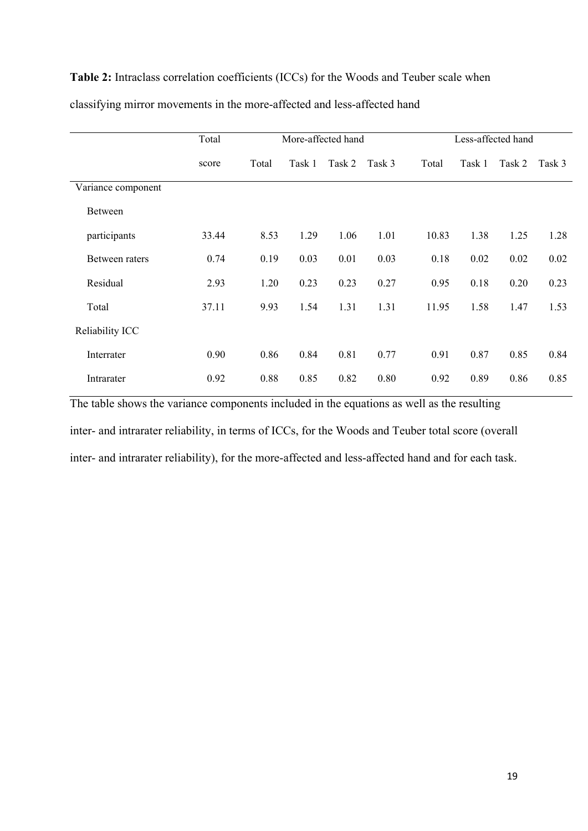# **Table 2:** Intraclass correlation coefficients (ICCs) for the Woods and Teuber scale when

|                    | Total | More-affected hand |        |        | Less-affected hand |       |        |        |        |
|--------------------|-------|--------------------|--------|--------|--------------------|-------|--------|--------|--------|
|                    | score | Total              | Task 1 | Task 2 | Task 3             | Total | Task 1 | Task 2 | Task 3 |
| Variance component |       |                    |        |        |                    |       |        |        |        |
| Between            |       |                    |        |        |                    |       |        |        |        |
| participants       | 33.44 | 8.53               | 1.29   | 1.06   | 1.01               | 10.83 | 1.38   | 1.25   | 1.28   |
| Between raters     | 0.74  | 0.19               | 0.03   | 0.01   | 0.03               | 0.18  | 0.02   | 0.02   | 0.02   |
| Residual           | 2.93  | 1.20               | 0.23   | 0.23   | 0.27               | 0.95  | 0.18   | 0.20   | 0.23   |
| Total              | 37.11 | 9.93               | 1.54   | 1.31   | 1.31               | 11.95 | 1.58   | 1.47   | 1.53   |
| Reliability ICC    |       |                    |        |        |                    |       |        |        |        |
| Interrater         | 0.90  | 0.86               | 0.84   | 0.81   | 0.77               | 0.91  | 0.87   | 0.85   | 0.84   |
| Intrarater         | 0.92  | 0.88               | 0.85   | 0.82   | 0.80               | 0.92  | 0.89   | 0.86   | 0.85   |

classifying mirror movements in the more-affected and less-affected hand

The table shows the variance components included in the equations as well as the resulting inter- and intrarater reliability, in terms of ICCs, for the Woods and Teuber total score (overall inter- and intrarater reliability), for the more-affected and less-affected hand and for each task.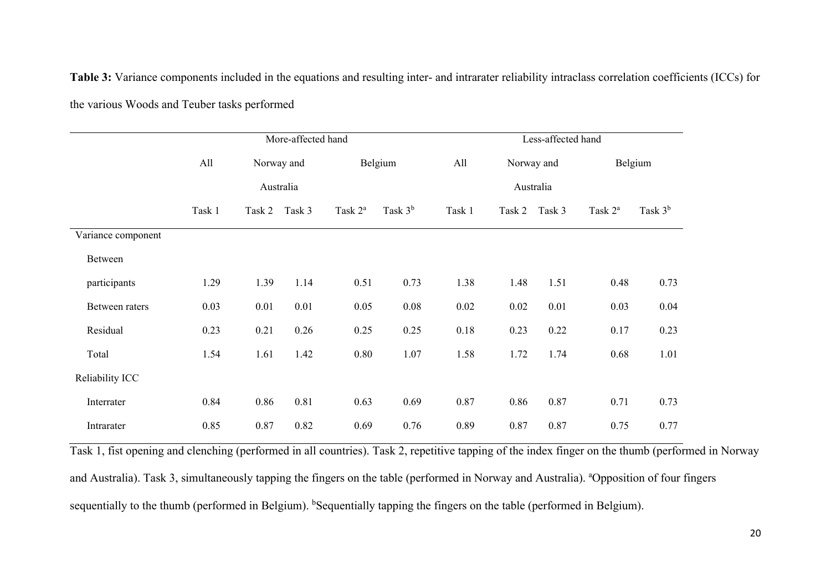**Table 3:** Variance components included in the equations and resulting inter- and intrarater reliability intraclass correlation coefficients (ICCs) for the various Woods and Teuber tasks performed

|                    | More-affected hand |               |      |                     | Less-affected hand |           |                   |        |                     |           |  |
|--------------------|--------------------|---------------|------|---------------------|--------------------|-----------|-------------------|--------|---------------------|-----------|--|
|                    | All                | Norway and    |      |                     | Belgium            |           | All<br>Norway and |        |                     | Belgium   |  |
|                    | Australia          |               |      |                     |                    | Australia |                   |        |                     |           |  |
|                    | Task 1             | Task 2 Task 3 |      | Task 2 <sup>a</sup> | Task $3b$          | Task 1    | Task 2            | Task 3 | Task 2 <sup>a</sup> | Task $3b$ |  |
| Variance component |                    |               |      |                     |                    |           |                   |        |                     |           |  |
| Between            |                    |               |      |                     |                    |           |                   |        |                     |           |  |
| participants       | 1.29               | 1.39          | 1.14 | 0.51                | 0.73               | 1.38      | 1.48              | 1.51   | 0.48                | 0.73      |  |
| Between raters     | 0.03               | 0.01          | 0.01 | 0.05                | 0.08               | 0.02      | 0.02              | 0.01   | 0.03                | 0.04      |  |
| Residual           | 0.23               | 0.21          | 0.26 | 0.25                | 0.25               | 0.18      | 0.23              | 0.22   | 0.17                | 0.23      |  |
| Total              | 1.54               | 1.61          | 1.42 | 0.80                | 1.07               | 1.58      | 1.72              | 1.74   | 0.68                | 1.01      |  |
| Reliability ICC    |                    |               |      |                     |                    |           |                   |        |                     |           |  |
| Interrater         | 0.84               | 0.86          | 0.81 | 0.63                | 0.69               | 0.87      | 0.86              | 0.87   | 0.71                | 0.73      |  |
| Intrarater         | 0.85               | 0.87          | 0.82 | 0.69                | 0.76               | 0.89      | 0.87              | 0.87   | 0.75                | 0.77      |  |

Task 1, fist opening and clenching (performed in all countries). Task 2, repetitive tapping of the index finger on the thumb (performed in Norway and Australia). Task 3, simultaneously tapping the fingers on the table (performed in Norway and Australia). <sup>a</sup>Opposition of four fingers sequentially to the thumb (performed in Belgium). <sup>b</sup>Sequentially tapping the fingers on the table (performed in Belgium).